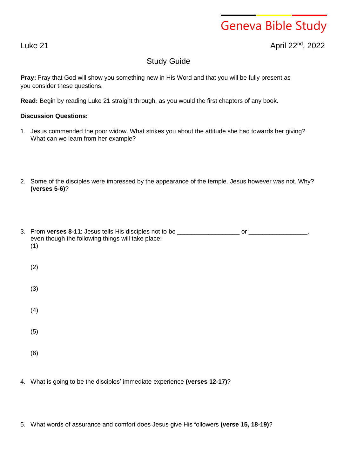## Geneva Bible Study

## Luke 21 April 22nd , 2022

## Study Guide

**Pray:** Pray that God will show you something new in His Word and that you will be fully present as you consider these questions.

**Read:** Begin by reading Luke 21 straight through, as you would the first chapters of any book.

## **Discussion Questions:**

- 1. Jesus commended the poor widow. What strikes you about the attitude she had towards her giving? What can we learn from her example?
- 2. Some of the disciples were impressed by the appearance of the temple. Jesus however was not. Why? **(verses 5-6)**?

| 3. From verses 8-11: Jesus tells His disciples not to be _______________________<br>even though the following things will take place:<br>(1) | or |
|----------------------------------------------------------------------------------------------------------------------------------------------|----|
| (2)                                                                                                                                          |    |
| (3)                                                                                                                                          |    |
| (4)                                                                                                                                          |    |
| (5)                                                                                                                                          |    |
| (6)                                                                                                                                          |    |

- 4. What is going to be the disciples' immediate experience **(verses 12-17)**?
- 5. What words of assurance and comfort does Jesus give His followers **(verse 15, 18-19)**?